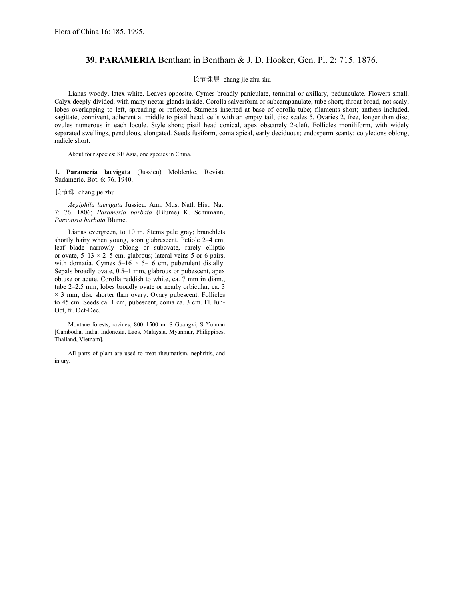## **39. PARAMERIA** Bentham in Bentham & J. D. Hooker, Gen. Pl. 2: 715. 1876.

## 长节珠属 chang jie zhu shu

Lianas woody, latex white. Leaves opposite. Cymes broadly paniculate, terminal or axillary, pedunculate. Flowers small. Calyx deeply divided, with many nectar glands inside. Corolla salverform or subcampanulate, tube short; throat broad, not scaly; lobes overlapping to left, spreading or reflexed. Stamens inserted at base of corolla tube; filaments short; anthers included, sagittate, connivent, adherent at middle to pistil head, cells with an empty tail; disc scales 5. Ovaries 2, free, longer than disc; ovules numerous in each locule. Style short; pistil head conical, apex obscurely 2-cleft. Follicles moniliform, with widely separated swellings, pendulous, elongated. Seeds fusiform, coma apical, early deciduous; endosperm scanty; cotyledons oblong, radicle short.

About four species: SE Asia, one species in China.

**1. Parameria laevigata** (Jussieu) Moldenke, Revista Sudameric. Bot. 6: 76. 1940.

长节珠 chang jie zhu

*Aegiphila laevigata* Jussieu, Ann. Mus. Natl. Hist. Nat. 7: 76. 1806; *Parameria barbata* (Blume) K. Schumann; *Parsonsia barbata* Blume.

Lianas evergreen, to 10 m. Stems pale gray; branchlets shortly hairy when young, soon glabrescent. Petiole 2*–*4 cm; leaf blade narrowly oblong or subovate, rarely elliptic or ovate, 5*–*13 × 2*–*5 cm, glabrous; lateral veins 5 or 6 pairs, with domatia. Cymes  $5-16 \times 5-16$  cm, puberulent distally. Sepals broadly ovate, 0.5*–*1 mm, glabrous or pubescent, apex obtuse or acute. Corolla reddish to white, ca. 7 mm in diam., tube 2*–*2.5 mm; lobes broadly ovate or nearly orbicular, ca. 3  $\times$  3 mm; disc shorter than ovary. Ovary pubescent. Follicles to 45 cm. Seeds ca. 1 cm, pubescent, coma ca. 3 cm. Fl. Jun-Oct, fr. Oct-Dec.

Montane forests, ravines; 800*–*1500 m. S Guangxi, S Yunnan [Cambodia, India, Indonesia, Laos, Malaysia, Myanmar, Philippines, Thailand, Vietnam].

All parts of plant are used to treat rheumatism, nephritis, and injury.